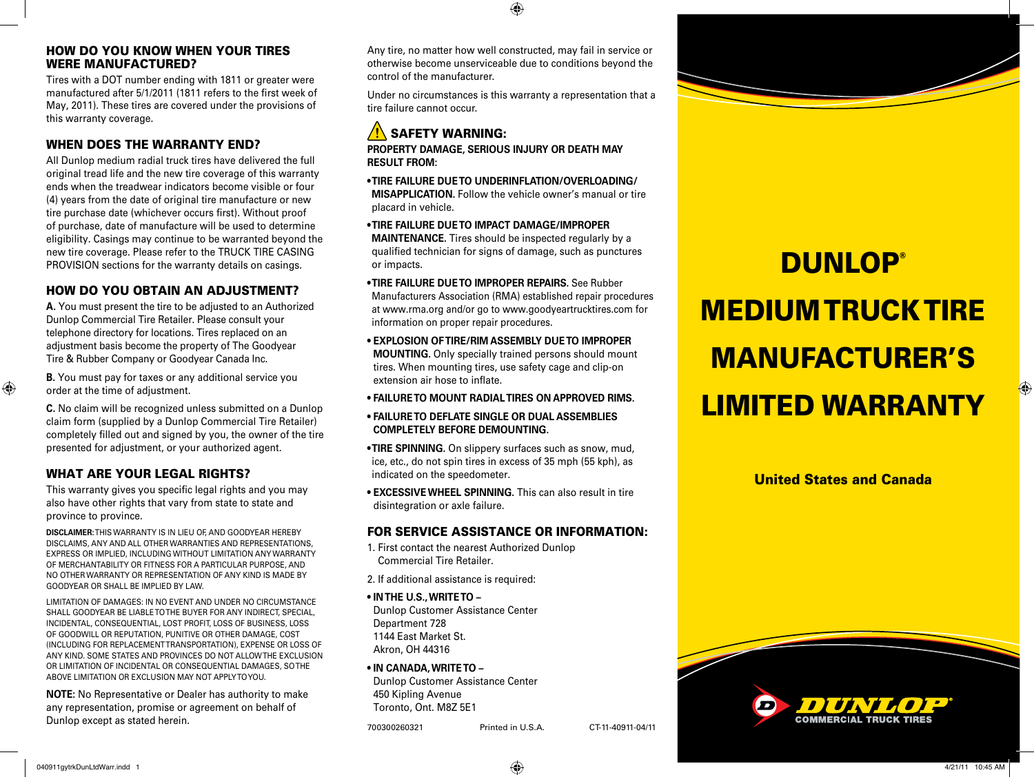#### HOW DO YOU KNOW WHEN YOUR TIRES WERE MANUFACTURED?

Tires with a DOT number ending with 1811 or greater were manufactured after 5/1/2011 (1811 refers to the first week of May, 2011). These tires are covered under the provisions of this warranty coverage.

#### WHEN DOES THE WARRANTY END?

All Dunlop medium radial truck tires have delivered the full original tread life and the new tire coverage of this warranty ends when the treadwear indicators become visible or four (4) years from the date of original tire manufacture or new tire purchase date (whichever occurs first). Without proof of purchase, date of manufacture will be used to determine eligibility. Casings may continue to be warranted beyond the new tire coverage. Please refer to the TRUCK TIRE CASING PROVISION sections for the warranty details on casings.

#### HOW DO YOU OBTAIN AN ADJUSTMENT?

**A.** You must present the tire to be adjusted to an Authorized Dunlop Commercial Tire Retailer. Please consult your telephone directory for locations. Tires replaced on an adjustment basis become the property of The Goodyear Tire & Rubber Company or Goodyear Canada Inc.

**B.** You must pay for taxes or any additional service you order at the time of adjustment.

**C.** No claim will be recognized unless submitted on a Dunlop claim form (supplied by a Dunlop Commercial Tire Retailer) completely filled out and signed by you, the owner of the tire presented for adjustment, or your authorized agent.

### WHAT ARE YOUR LEGAL RIGHTS?

This warranty gives you specific legal rights and you may also have other rights that vary from state to state and province to province.

**DISCLAIMER:** THIS WARRANTY IS IN LIEU OF, AND GOODYEAR HEREBY DISCLAIMS, ANY AND ALL OTHER WARRANTIES AND REPRESENTATIONS, EXPRESS OR IMPLIED, INCLUDING WITHOUT LIMITATION ANY WARRANTY OF MERCHANTABILITY OR FITNESS FOR A PARTICULAR PURPOSE, AND NO OTHER WARRANTY OR REPRESENTATION OF ANY KIND IS MADE BY GOODYEAR OR SHALL BE IMPLIED BY LAW.

LIMITATION OF DAMAGES: IN NO EVENT AND UNDER NO CIRCUMSTANCE SHALL GOODYEAR BE LIABLE TO THE BUYER FOR ANY INDIRECT, SPECIAL, INCIDENTAL, CONSEQUENTIAL, LOST PROFIT, LOSS OF BUSINESS, LOSS OF GOODWILL OR REPUTATION, PUNITIVE OR OTHER DAMAGE, COST (INCLUDING FOR REPLACEMENT TRANSPORTATION), EXPENSE OR LOSS OF ANY KIND. SOME STATES AND PROVINCES DO NOT ALLOW THE EXCLUSION OR LIMITATION OF INCIDENTAL OR CONSEQUENTIAL DAMAGES, SO THE ABOVE LIMITATION OR EXCLUSION MAY NOT APPLY TO YOU.

**NOTE:** No Representative or Dealer has authority to make any representation, promise or agreement on behalf of Dunlop except as stated herein.

Any tire, no matter how well constructed, may fail in service or otherwise become unserviceable due to conditions beyond the control of the manufacturer.

⊕

Under no circumstances is this warranty a representation that a tire failure cannot occur.

## SAFETY WARNING:

**Property damage, serious injury or death may result from:** 

- **TIRE FAILURE DUE TO UNDERINFLATION/OVERLOADING/ MISAPPLICATION.** Follow the vehicle owner's manual or tire placard in vehicle.
- **TIRE FAILURE DUE TO IMPACT DAMAGE/IMPROPER**

**MAINTENANCE.** Tires should be inspected regularly by a qualified technician for signs of damage, such as punctures or impacts.

**• TIRE FAILURE DUE TO IMPROPER REPAIRS.** See Rubber

Manufacturers Association (RMA) established repair procedures at www.rma.org and/or go to www.goodyeartrucktires.com for information on proper repair procedures.

- **EXPLOSION OFTIRE/RIM ASSEMBLY DUE TO IMPROPER MOUNTING.** Only specially trained persons should mount tires. When mounting tires, use safety cage and clip-on extension air hose to inflate.
- **FAILURE TO MOUNT RADIAL TIRES ON APPROVED RIMS.**
- **FAILURE TO DEFLATE SINGLE OR DUAL ASSEMBLIES COMPLETELY BEFORE DEMOUNTING.**
- **TIRE SPINNING.** On slippery surfaces such as snow, mud, ice, etc., do not spin tires in excess of 35 mph (55 kph), as indicated on the speedometer.
- **EXCESSIVE WHEEL SPINNING.** This can also result in tire disintegration or axle failure.

#### FOR SERVICE ASSISTANCE OR INFORMATION:

- 1. First contact the nearest Authorized Dunlop Commercial Tire Retailer.
- 2. If additional assistance is required:
- **In the U.S., write to**
- Dunlop Customer Assistance Center Department 728 1144 East Market St. Akron, OH 44316
- **In Canada, write to**  Dunlop Customer Assistance Center 450 Kipling Avenue Toronto, Ont. M8Z 5E1

700300260321 Printed in U.S.A. CT-11-40911-04/11

# **DUNLOP® MEDIUM TRUCK TIRE** Manufacturer's Limited warranty

United States and Canada



⊕

⊕